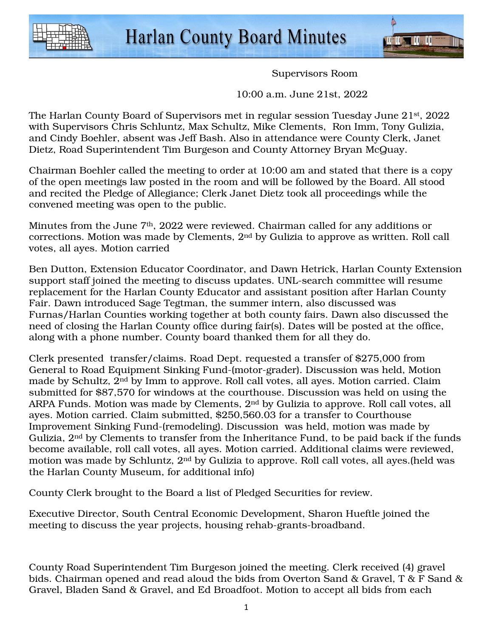



Supervisors Room

10:00 a.m. June 21st, 2022

The Harlan County Board of Supervisors met in regular session Tuesday June 21st, 2022 with Supervisors Chris Schluntz, Max Schultz, Mike Clements, Ron Imm, Tony Gulizia, and Cindy Boehler, absent was Jeff Bash. Also in attendance were County Clerk, Janet Dietz, Road Superintendent Tim Burgeson and County Attorney Bryan McQuay.

Chairman Boehler called the meeting to order at 10:00 am and stated that there is a copy of the open meetings law posted in the room and will be followed by the Board. All stood and recited the Pledge of Allegiance; Clerk Janet Dietz took all proceedings while the convened meeting was open to the public.

Minutes from the June 7<sup>th</sup>, 2022 were reviewed. Chairman called for any additions or corrections. Motion was made by Clements, 2nd by Gulizia to approve as written. Roll call votes, all ayes. Motion carried

Ben Dutton, Extension Educator Coordinator, and Dawn Hetrick, Harlan County Extension support staff joined the meeting to discuss updates. UNL-search committee will resume replacement for the Harlan County Educator and assistant position after Harlan County Fair. Dawn introduced Sage Tegtman, the summer intern, also discussed was Furnas/Harlan Counties working together at both county fairs. Dawn also discussed the need of closing the Harlan County office during fair(s). Dates will be posted at the office, along with a phone number. County board thanked them for all they do.

Clerk presented transfer/claims. Road Dept. requested a transfer of \$275,000 from General to Road Equipment Sinking Fund-(motor-grader). Discussion was held, Motion made by Schultz, 2nd by Imm to approve. Roll call votes, all ayes. Motion carried. Claim submitted for \$87,570 for windows at the courthouse. Discussion was held on using the ARPA Funds. Motion was made by Clements, 2nd by Gulizia to approve. Roll call votes, all ayes. Motion carried. Claim submitted, \$250,560.03 for a transfer to Courthouse Improvement Sinking Fund-(remodeling). Discussion was held, motion was made by Gulizia, 2nd by Clements to transfer from the Inheritance Fund, to be paid back if the funds become available, roll call votes, all ayes. Motion carried. Additional claims were reviewed, motion was made by Schluntz, 2nd by Gulizia to approve. Roll call votes, all ayes.(held was the Harlan County Museum, for additional info)

County Clerk brought to the Board a list of Pledged Securities for review.

Executive Director, South Central Economic Development, Sharon Hueftle joined the meeting to discuss the year projects, housing rehab-grants-broadband.

County Road Superintendent Tim Burgeson joined the meeting. Clerk received (4) gravel bids. Chairman opened and read aloud the bids from Overton Sand & Gravel, T & F Sand & Gravel, Bladen Sand & Gravel, and Ed Broadfoot. Motion to accept all bids from each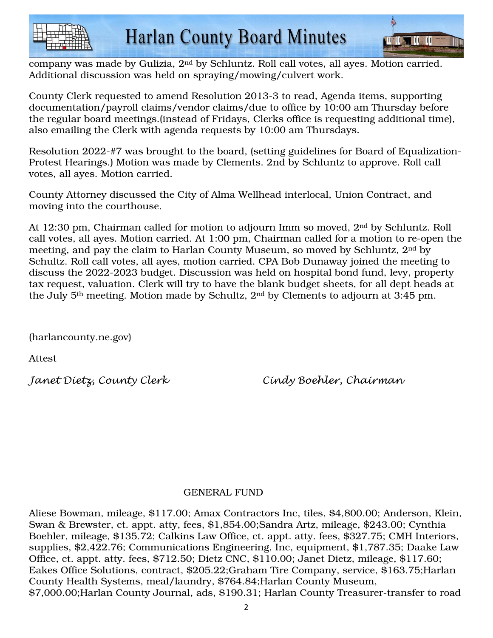



company was made by Gulizia, 2nd by Schluntz. Roll call votes, all ayes. Motion carried. Additional discussion was held on spraying/mowing/culvert work.

County Clerk requested to amend Resolution 2013-3 to read, Agenda items, supporting documentation/payroll claims/vendor claims/due to office by 10:00 am Thursday before the regular board meetings.(instead of Fridays, Clerks office is requesting additional time), also emailing the Clerk with agenda requests by 10:00 am Thursdays.

Resolution 2022-#7 was brought to the board, (setting guidelines for Board of Equalization-Protest Hearings.) Motion was made by Clements. 2nd by Schluntz to approve. Roll call votes, all ayes. Motion carried.

County Attorney discussed the City of Alma Wellhead interlocal, Union Contract, and moving into the courthouse.

At 12:30 pm, Chairman called for motion to adjourn Imm so moved, 2nd by Schluntz. Roll call votes, all ayes. Motion carried. At 1:00 pm, Chairman called for a motion to re-open the meeting, and pay the claim to Harlan County Museum, so moved by Schluntz, 2nd by Schultz. Roll call votes, all ayes, motion carried. CPA Bob Dunaway joined the meeting to discuss the 2022-2023 budget. Discussion was held on hospital bond fund, levy, property tax request, valuation. Clerk will try to have the blank budget sheets, for all dept heads at the July 5th meeting. Motion made by Schultz, 2nd by Clements to adjourn at 3:45 pm.

(harlancounty.ne.gov)

Attest

Janet Dietz, County Clerk Cindy Boehler, Chairman

## GENERAL FUND

Aliese Bowman, mileage, \$117.00; Amax Contractors Inc, tiles, \$4,800.00; Anderson, Klein, Swan & Brewster, ct. appt. atty, fees, \$1,854.00;Sandra Artz, mileage, \$243.00; Cynthia Boehler, mileage, \$135.72; Calkins Law Office, ct. appt. atty. fees, \$327.75; CMH Interiors, supplies, \$2,422.76; Communications Engineering, Inc, equipment, \$1,787.35; Daake Law Office, ct. appt. atty. fees, \$712.50; Dietz CNC, \$110.00; Janet Dietz, mileage, \$117.60; Eakes Office Solutions, contract, \$205.22;Graham Tire Company, service, \$163.75;Harlan County Health Systems, meal/laundry, \$764.84;Harlan County Museum, \$7,000.00;Harlan County Journal, ads, \$190.31; Harlan County Treasurer-transfer to road